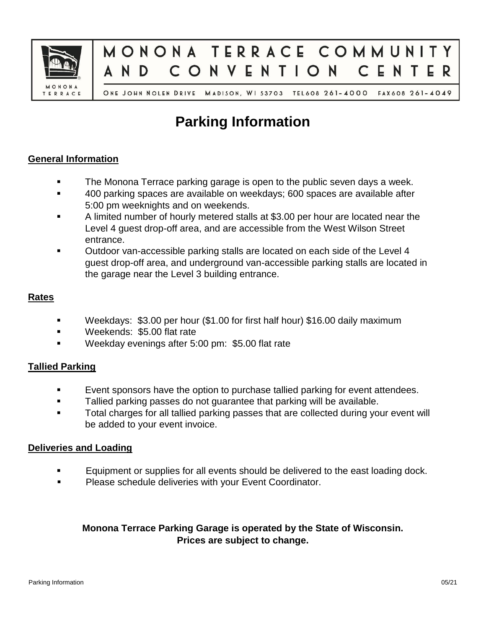



ONE JOHN NOLEN DRIVE MADISON, WI 53703 TEL608 261-4000 FAX608 261-4049

# **Parking Information**

## **General Information**

- The Monona Terrace parking garage is open to the public seven days a week.
- 400 parking spaces are available on weekdays; 600 spaces are available after 5:00 pm weeknights and on weekends.
- A limited number of hourly metered stalls at \$3.00 per hour are located near the Level 4 guest drop-off area, and are accessible from the West Wilson Street entrance.
- Outdoor van-accessible parking stalls are located on each side of the Level 4 guest drop-off area, and underground van-accessible parking stalls are located in the garage near the Level 3 building entrance.

## **Rates**

- Weekdays: \$3.00 per hour (\$1.00 for first half hour) \$16.00 daily maximum
- **Weekends: \$5.00 flat rate**
- Weekday evenings after 5:00 pm: \$5.00 flat rate

## **Tallied Parking**

- Event sponsors have the option to purchase tallied parking for event attendees.
- Tallied parking passes do not guarantee that parking will be available.
- Total charges for all tallied parking passes that are collected during your event will be added to your event invoice.

## **Deliveries and Loading**

- Equipment or supplies for all events should be delivered to the east loading dock.
- **Please schedule deliveries with your Event Coordinator.**

## **Monona Terrace Parking Garage is operated by the State of Wisconsin. Prices are subject to change.**